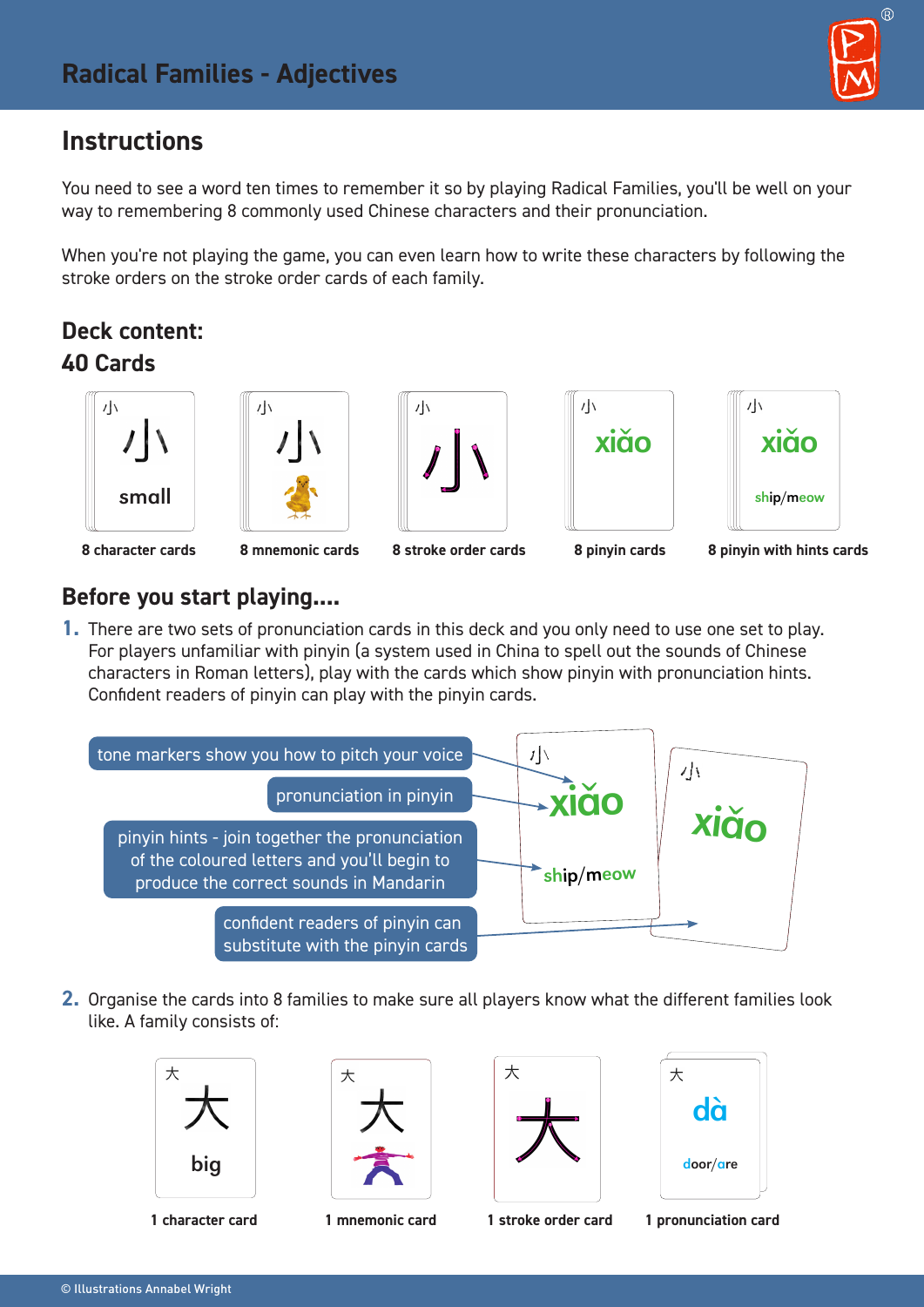# **Instructions**

You need to see a word ten times to remember it so by playing Radical Families, you'll be well on your way to remembering 8 commonly used Chinese characters and their pronunciation.

When you're not playing the game, you can even learn how to write these characters by following the stroke orders on the stroke order cards of each family.

## **Deck content: 40 Cards**











#### **8 character cards 8 mnemonic cards 8 stroke order cards 8 pinyin cards 8 pinyin with hints cards**

#### **Before you start playing....**

**1.** There are two sets of pronunciation cards in this deck and you only need to use one set to play. For players unfamiliar with pinyin (a system used in China to spell out the sounds of Chinese characters in Roman letters), play with the cards which show pinyin with pronunciation hints. Confident readers of pinyin can play with the pinyin cards.



**2.** Organise the cards into 8 families to make sure all players know what the different families look like. A family consists of:











**1 character card 1 mnemonic card 1 stroke order card 1 pronunciation card**



 $\circledR$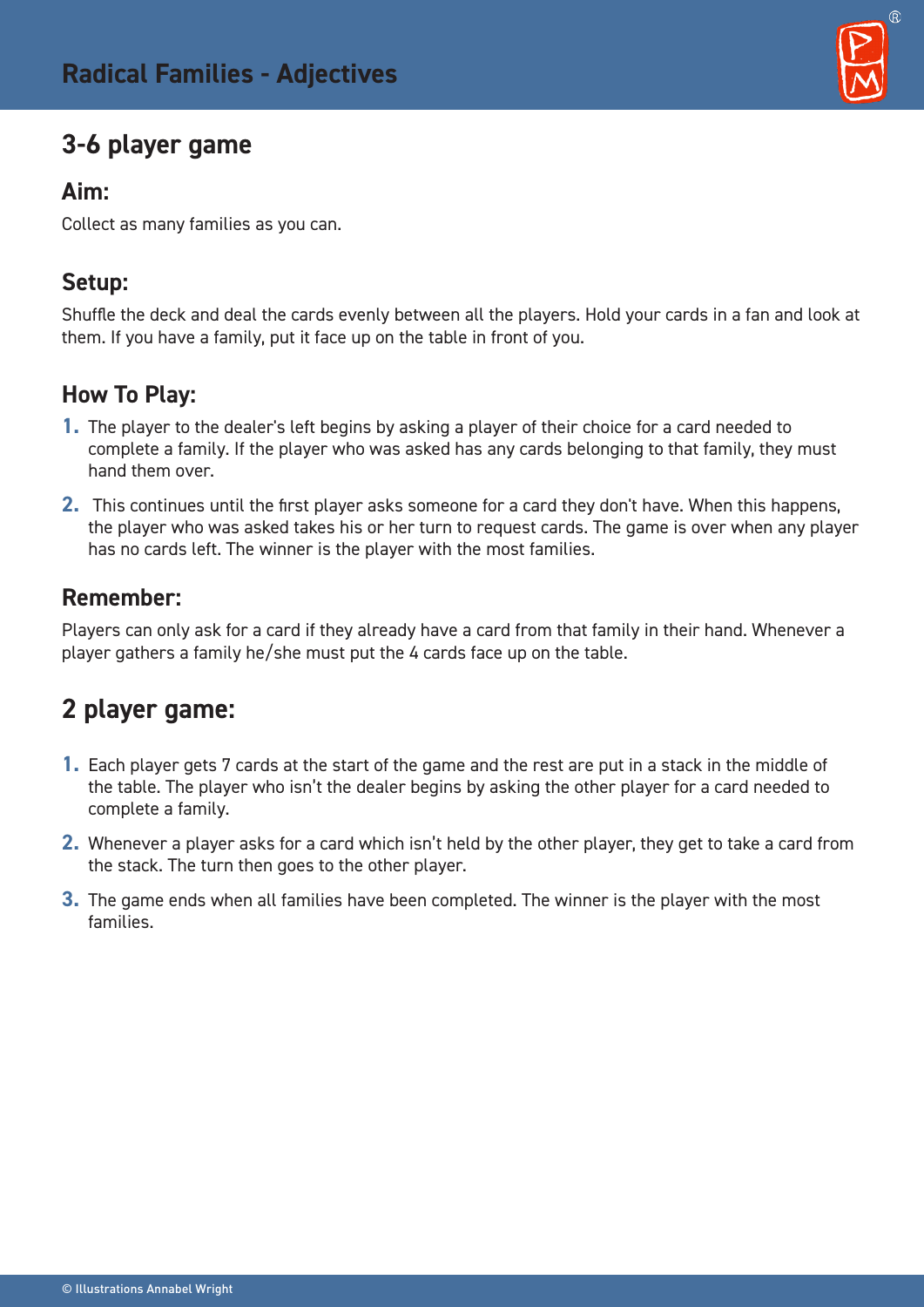# **3-6 player game**

#### **Aim:**

Collect as many families as you can.

### **Setup:**

Shuffle the deck and deal the cards evenly between all the players. Hold your cards in a fan and look at them. If you have a family, put it face up on the table in front of you.

### **How To Play:**

- **1.** The player to the dealer's left begins by asking a player of their choice for a card needed to complete a family. If the player who was asked has any cards belonging to that family, they must hand them over.
- **2.** This continues until the first player asks someone for a card they don't have. When this happens, the player who was asked takes his or her turn to request cards. The game is over when any player has no cards left. The winner is the player with the most families.

### **Remember:**

Players can only ask for a card if they already have a card from that family in their hand. Whenever a player gathers a family he/she must put the 4 cards face up on the table.

# **2 player game:**

- **1.** Each player gets 7 cards at the start of the game and the rest are put in a stack in the middle of the table. The player who isn't the dealer begins by asking the other player for a card needed to complete a family.
- **2.** Whenever a player asks for a card which isn't held by the other player, they get to take a card from the stack. The turn then goes to the other player.
- **3.** The game ends when all families have been completed. The winner is the player with the most families.